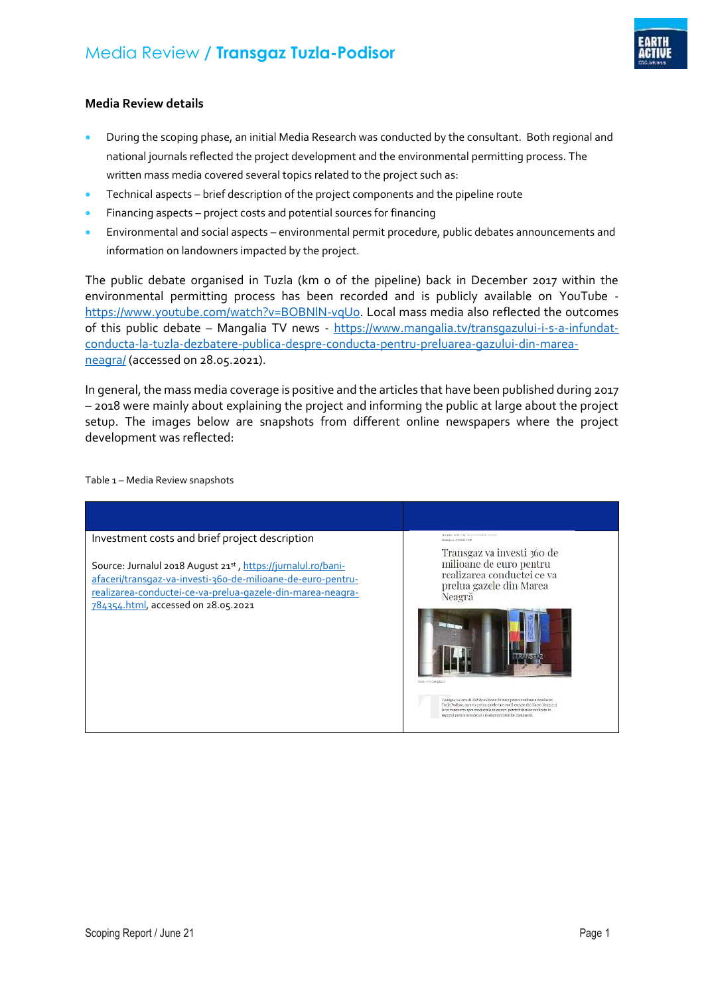

## **Media Review details**

- During the scoping phase, an initial Media Research was conducted by the consultant. Both regional and national journals reflected the project development and the environmental permitting process. The written mass media covered several topics related to the project such as:
- Technical aspects brief description of the project components and the pipeline route
- Financing aspects project costs and potential sources for financing
- Environmental and social aspects environmental permit procedure, public debates announcements and information on landowners impacted by the project.

The public debate organised in Tuzla (km 0 of the pipeline) back in December 2017 within the environmental permitting process has been recorded and is publicly available on YouTube [https://www.youtube.com/watch?v=BOBNlN-vqUo.](https://www.youtube.com/watch?v=BOBNlN-vqUo) Local mass media also reflected the outcomes of this public debate – Mangalia TV news - [https://www.mangalia.tv/transgazului-i-s-a-infundat](https://www.mangalia.tv/transgazului-i-s-a-infundat-conducta-la-tuzla-dezbatere-publica-despre-conducta-pentru-preluarea-gazului-din-marea-neagra/)[conducta-la-tuzla-dezbatere-publica-despre-conducta-pentru-preluarea-gazului-din-marea](https://www.mangalia.tv/transgazului-i-s-a-infundat-conducta-la-tuzla-dezbatere-publica-despre-conducta-pentru-preluarea-gazului-din-marea-neagra/)[neagra/](https://www.mangalia.tv/transgazului-i-s-a-infundat-conducta-la-tuzla-dezbatere-publica-despre-conducta-pentru-preluarea-gazului-din-marea-neagra/) (accessed on 28.05.2021).

In general, the mass media coverage is positive and the articles that have been published during 2017 – 2018 were mainly about explaining the project and informing the public at large about the project setup. The images below are snapshots from different online newspapers where the project development was reflected:

Table 1 – Media Review snapshots

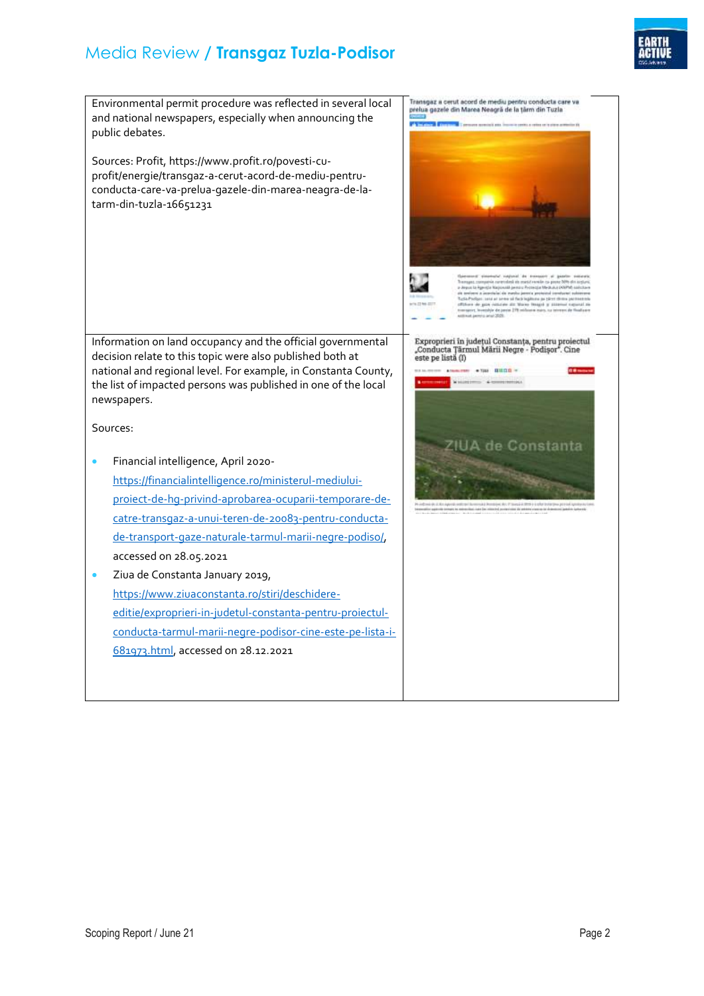## Media Review **/ Transgaz Tuzla-Podisor**



Transgaz a cerut acord de mediu pentru conducta care va<br>prelua gazele din Marea Neagră de la țărm din Tuzla Environmental permit procedure was reflected in several local and national newspapers, especially when announcing the **PS** public debates. Sources: Profit, https://www.profit.ro/povesti-cuprofit/energie/transgaz-a-cerut-acord-de-mediu-pentruconducta-care-va-prelua-gazele-din-marea-neagra-de-latarm-din-tuzla-16651231 Exproprieri în județul Constanța, pentru proiectul<br>"Conducta Țărmul Mării Negre - Podișor". Cine<br>este pe listă (I) Information on land occupancy and the official governmental decision relate to this topic were also published both at national and regional level. For example, in Constanta County,  $-$  700 0000  $-$ **NEW YORK** the list of impacted persons was published in one of the local newspapers. Sources: ZIUA de Constanta Financial intelligence, April 2020 [https://financialintelligence.ro/ministerul-mediului](https://financialintelligence.ro/ministerul-mediului-proiect-de-hg-privind-aprobarea-ocuparii-temporare-de-catre-transgaz-a-unui-teren-de-20083-pentru-conducta-de-transport-gaze-naturale-tarmul-marii-negre-podiso/)[proiect-de-hg-privind-aprobarea-ocuparii-temporare-de](https://financialintelligence.ro/ministerul-mediului-proiect-de-hg-privind-aprobarea-ocuparii-temporare-de-catre-transgaz-a-unui-teren-de-20083-pentru-conducta-de-transport-gaze-naturale-tarmul-marii-negre-podiso/)[catre-transgaz-a-unui-teren-de-20083-pentru-conducta](https://financialintelligence.ro/ministerul-mediului-proiect-de-hg-privind-aprobarea-ocuparii-temporare-de-catre-transgaz-a-unui-teren-de-20083-pentru-conducta-de-transport-gaze-naturale-tarmul-marii-negre-podiso/)[de-transport-gaze-naturale-tarmul-marii-negre-podiso/,](https://financialintelligence.ro/ministerul-mediului-proiect-de-hg-privind-aprobarea-ocuparii-temporare-de-catre-transgaz-a-unui-teren-de-20083-pentru-conducta-de-transport-gaze-naturale-tarmul-marii-negre-podiso/) accessed on 28.05.2021 **•** Ziua de Constanta January 2019, [https://www.ziuaconstanta.ro/stiri/deschidere](https://www.ziuaconstanta.ro/stiri/deschidere-editie/exproprieri-in-judetul-constanta-pentru-proiectul-conducta-tarmul-marii-negre-podisor-cine-este-pe-lista-i-681973.html)[editie/exproprieri-in-judetul-constanta-pentru-proiectul](https://www.ziuaconstanta.ro/stiri/deschidere-editie/exproprieri-in-judetul-constanta-pentru-proiectul-conducta-tarmul-marii-negre-podisor-cine-este-pe-lista-i-681973.html)[conducta-tarmul-marii-negre-podisor-cine-este-pe-lista-i-](https://www.ziuaconstanta.ro/stiri/deschidere-editie/exproprieri-in-judetul-constanta-pentru-proiectul-conducta-tarmul-marii-negre-podisor-cine-este-pe-lista-i-681973.html)[681973.html,](https://www.ziuaconstanta.ro/stiri/deschidere-editie/exproprieri-in-judetul-constanta-pentru-proiectul-conducta-tarmul-marii-negre-podisor-cine-este-pe-lista-i-681973.html) accessed on 28.12.2021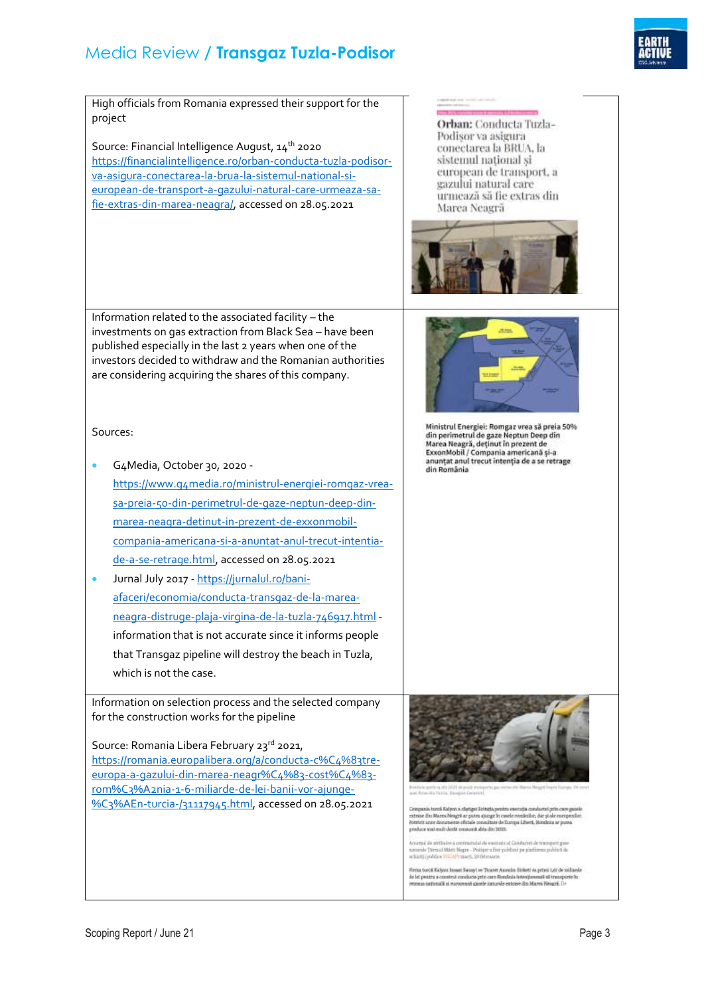## Media Review **/ Transgaz Tuzla-Podisor**



High officials from Romania expressed their support for the project Orban: Conducta Tuzla-Podisor va asigura Source: Financial Intelligence August, 14<sup>th</sup> 2020 conectarea la BRUA, la [https://financialintelligence.ro/orban-conducta-tuzla-podisor](https://financialintelligence.ro/orban-conducta-tuzla-podisor-va-asigura-conectarea-la-brua-la-sistemul-national-si-european-de-transport-a-gazului-natural-care-urmeaza-sa-fie-extras-din-marea-neagra/)sistemul national si [va-asigura-conectarea-la-brua-la-sistemul-national-si](https://financialintelligence.ro/orban-conducta-tuzla-podisor-va-asigura-conectarea-la-brua-la-sistemul-national-si-european-de-transport-a-gazului-natural-care-urmeaza-sa-fie-extras-din-marea-neagra/)european de transport, a gazului natural care [european-de-transport-a-gazului-natural-care-urmeaza-sa](https://financialintelligence.ro/orban-conducta-tuzla-podisor-va-asigura-conectarea-la-brua-la-sistemul-national-si-european-de-transport-a-gazului-natural-care-urmeaza-sa-fie-extras-din-marea-neagra/)urmează să fie extras din [fie-extras-din-marea-neagra/,](https://financialintelligence.ro/orban-conducta-tuzla-podisor-va-asigura-conectarea-la-brua-la-sistemul-national-si-european-de-transport-a-gazului-natural-care-urmeaza-sa-fie-extras-din-marea-neagra/) accessed on 28.05.2021 Marea Neagră Information related to the associated facility – the investments on gas extraction from Black Sea – have been published especially in the last 2 years when one of the investors decided to withdraw and the Romanian authorities are considering acquiring the shares of this company. Ministrul Energiei: Romgaz vrea să preia 50%<br>din perimetrul de gaze Neptun Deep din Sources: Marea Neagră, deținut în prezent de<br>ExxonMobil / Compania americană și-a anunțat anul trecut intenția de a se retrage G4Media, October 30, 2020 din România [https://www.g4media.ro/ministrul-energiei-romgaz-vrea](https://www.g4media.ro/ministrul-energiei-romgaz-vrea-sa-preia-50-din-perimetrul-de-gaze-neptun-deep-din-marea-neagra-detinut-in-prezent-de-exxonmobil-compania-americana-si-a-anuntat-anul-trecut-intentia-de-a-se-retrage.html)[sa-preia-50-din-perimetrul-de-gaze-neptun-deep-din](https://www.g4media.ro/ministrul-energiei-romgaz-vrea-sa-preia-50-din-perimetrul-de-gaze-neptun-deep-din-marea-neagra-detinut-in-prezent-de-exxonmobil-compania-americana-si-a-anuntat-anul-trecut-intentia-de-a-se-retrage.html)[marea-neagra-detinut-in-prezent-de-exxonmobil](https://www.g4media.ro/ministrul-energiei-romgaz-vrea-sa-preia-50-din-perimetrul-de-gaze-neptun-deep-din-marea-neagra-detinut-in-prezent-de-exxonmobil-compania-americana-si-a-anuntat-anul-trecut-intentia-de-a-se-retrage.html)[compania-americana-si-a-anuntat-anul-trecut-intentia](https://www.g4media.ro/ministrul-energiei-romgaz-vrea-sa-preia-50-din-perimetrul-de-gaze-neptun-deep-din-marea-neagra-detinut-in-prezent-de-exxonmobil-compania-americana-si-a-anuntat-anul-trecut-intentia-de-a-se-retrage.html)[de-a-se-retrage.html,](https://www.g4media.ro/ministrul-energiei-romgaz-vrea-sa-preia-50-din-perimetrul-de-gaze-neptun-deep-din-marea-neagra-detinut-in-prezent-de-exxonmobil-compania-americana-si-a-anuntat-anul-trecut-intentia-de-a-se-retrage.html) accessed on 28.05.2021 Jurnal July 2017 - [https://jurnalul.ro/bani](https://jurnalul.ro/bani-afaceri/economia/conducta-transgaz-de-la-marea-neagra-distruge-plaja-virgina-de-la-tuzla-746917.html)[afaceri/economia/conducta-transgaz-de-la-marea](https://jurnalul.ro/bani-afaceri/economia/conducta-transgaz-de-la-marea-neagra-distruge-plaja-virgina-de-la-tuzla-746917.html)[neagra-distruge-plaja-virgina-de-la-tuzla-746917.html](https://jurnalul.ro/bani-afaceri/economia/conducta-transgaz-de-la-marea-neagra-distruge-plaja-virgina-de-la-tuzla-746917.html) information that is not accurate since it informs people that Transgaz pipeline will destroy the beach in Tuzla, which is not the case. Information on selection process and the selected company for the construction works for the pipeline Source: Romania Libera February 23rd 2021, [https://romania.europalibera.org/a/conducta-c%C4%83tre](https://romania.europalibera.org/a/conducta-c%C4%83tre-europa-a-gazului-din-marea-neagr%C4%83-cost%C4%83-rom%C3%A2nia-1-6-miliarde-de-lei-banii-vor-ajunge-%C3%AEn-turcia-/31117945.html)[europa-a-gazului-din-marea-neagr%C4%83-cost%C4%83](https://romania.europalibera.org/a/conducta-c%C4%83tre-europa-a-gazului-din-marea-neagr%C4%83-cost%C4%83-rom%C3%A2nia-1-6-miliarde-de-lei-banii-vor-ajunge-%C3%AEn-turcia-/31117945.html) [rom%C3%A2nia-1-6-miliarde-de-lei-banii-vor-ajunge-](https://romania.europalibera.org/a/conducta-c%C4%83tre-europa-a-gazului-din-marea-neagr%C4%83-cost%C4%83-rom%C3%A2nia-1-6-miliarde-de-lei-banii-vor-ajunge-%C3%AEn-turcia-/31117945.html) [%C3%AEn-turcia-/31117945.html,](https://romania.europalibera.org/a/conducta-c%C4%83tre-europa-a-gazului-din-marea-neagr%C4%83-cost%C4%83-rom%C3%A2nia-1-6-miliarde-de-lei-banii-vor-ajunge-%C3%AEn-turcia-/31117945.html) accessed on 28.05.2021nia turcă Kaliyon a clatiant licitatia peninu execuția Compans terra sua por a margor a energía person execução consumos prin care ge<br>extreme do Marco Neagot se poi no quage lo carele neadleilles, das pi ale energes<br>Pontivit unar documente oficiale consultate de Daropa Liberti Accord de stribule à contramdul de esemple el Candureri de resupert gue<br>accorde Termul Máriz Negre - Podiper a fint publicat pe giatierras publicit de<br>achierátiquidities (1953) francs, 28 februarie. Firma turcil Kalyan Insant Sanayi ve Truoret Ausreim Sizketi va primi Lei de miliarde de lei pontra a construi conducta prin care Roenleia intemponenză al transpo<br>retenua națională și europeană ganele iururale estense din Marea Neapă. Di